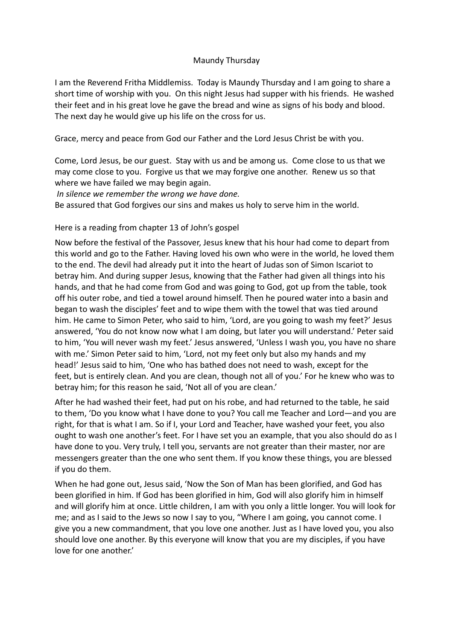## Maundy Thursday

I am the Reverend Fritha Middlemiss. Today is Maundy Thursday and I am going to share a short time of worship with you. On this night Jesus had supper with his friends. He washed their feet and in his great love he gave the bread and wine as signs of his body and blood. The next day he would give up his life on the cross for us.

Grace, mercy and peace from God our Father and the Lord Jesus Christ be with you.

Come, Lord Jesus, be our guest. Stay with us and be among us. Come close to us that we may come close to you. Forgive us that we may forgive one another. Renew us so that where we have failed we may begin again.

*In silence we remember the wrong we have done.*

Be assured that God forgives our sins and makes us holy to serve him in the world.

Here is a reading from chapter 13 of John's gospel

Now before the festival of the Passover, Jesus knew that his hour had come to depart from this world and go to the Father. Having loved his own who were in the world, he loved them to the end. The devil had already put it into the heart of Judas son of Simon Iscariot to betray him. And during supper Jesus, knowing that the Father had given all things into his hands, and that he had come from God and was going to God, got up from the table, took off his outer robe, and tied a towel around himself. Then he poured water into a basin and began to wash the disciples' feet and to wipe them with the towel that was tied around him. He came to Simon Peter, who said to him, 'Lord, are you going to wash my feet?' Jesus answered, 'You do not know now what I am doing, but later you will understand.' Peter said to him, 'You will never wash my feet.' Jesus answered, 'Unless I wash you, you have no share with me.' Simon Peter said to him, 'Lord, not my feet only but also my hands and my head!' Jesus said to him, 'One who has bathed does not need to wash, except for the feet, but is entirely clean. And you are clean, though not all of you.' For he knew who was to betray him; for this reason he said, 'Not all of you are clean.'

After he had washed their feet, had put on his robe, and had returned to the table, he said to them, 'Do you know what I have done to you? You call me Teacher and Lord—and you are right, for that is what I am. So if I, your Lord and Teacher, have washed your feet, you also ought to wash one another's feet. For I have set you an example, that you also should do as I have done to you. Very truly, I tell you, servants are not greater than their master, nor are messengers greater than the one who sent them. If you know these things, you are blessed if you do them.

When he had gone out, Jesus said, 'Now the Son of Man has been glorified, and God has been glorified in him. If God has been glorified in him, God will also glorify him in himself and will glorify him at once. Little children, I am with you only a little longer. You will look for me; and as I said to the Jews so now I say to you, "Where I am going, you cannot come. I give you a new commandment, that you love one another. Just as I have loved you, you also should love one another. By this everyone will know that you are my disciples, if you have love for one another.'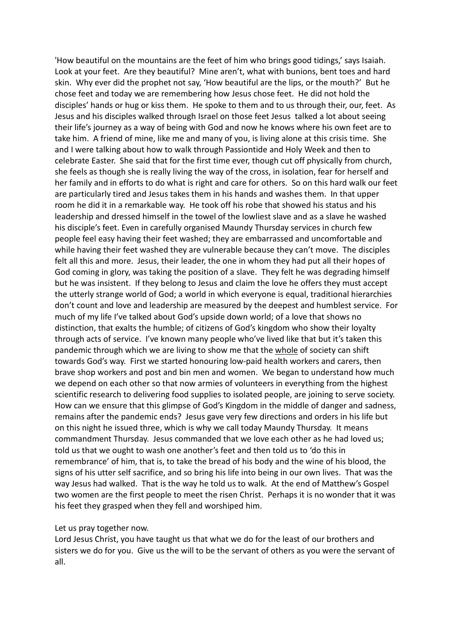'How beautiful on the mountains are the feet of him who brings good tidings,' says Isaiah. Look at your feet. Are they beautiful? Mine aren't, what with bunions, bent toes and hard skin. Why ever did the prophet not say, 'How beautiful are the lips, or the mouth?' But he chose feet and today we are remembering how Jesus chose feet. He did not hold the disciples' hands or hug or kiss them. He spoke to them and to us through their, our, feet. As Jesus and his disciples walked through Israel on those feet Jesus talked a lot about seeing their life's journey as a way of being with God and now he knows where his own feet are to take him. A friend of mine, like me and many of you, is living alone at this crisis time. She and I were talking about how to walk through Passiontide and Holy Week and then to celebrate Easter. She said that for the first time ever, though cut off physically from church, she feels as though she is really living the way of the cross, in isolation, fear for herself and her family and in efforts to do what is right and care for others. So on this hard walk our feet are particularly tired and Jesus takes them in his hands and washes them. In that upper room he did it in a remarkable way. He took off his robe that showed his status and his leadership and dressed himself in the towel of the lowliest slave and as a slave he washed his disciple's feet. Even in carefully organised Maundy Thursday services in church few people feel easy having their feet washed; they are embarrassed and uncomfortable and while having their feet washed they are vulnerable because they can't move. The disciples felt all this and more. Jesus, their leader, the one in whom they had put all their hopes of God coming in glory, was taking the position of a slave. They felt he was degrading himself but he was insistent. If they belong to Jesus and claim the love he offers they must accept the utterly strange world of God; a world in which everyone is equal, traditional hierarchies don't count and love and leadership are measured by the deepest and humblest service. For much of my life I've talked about God's upside down world; of a love that shows no distinction, that exalts the humble; of citizens of God's kingdom who show their loyalty through acts of service. I've known many people who've lived like that but it's taken this pandemic through which we are living to show me that the whole of society can shift towards God's way. First we started honouring low-paid health workers and carers, then brave shop workers and post and bin men and women. We began to understand how much we depend on each other so that now armies of volunteers in everything from the highest scientific research to delivering food supplies to isolated people, are joining to serve society. How can we ensure that this glimpse of God's Kingdom in the middle of danger and sadness, remains after the pandemic ends? Jesus gave very few directions and orders in his life but on this night he issued three, which is why we call today Maundy Thursday. It means commandment Thursday. Jesus commanded that we love each other as he had loved us; told us that we ought to wash one another's feet and then told us to 'do this in remembrance' of him, that is, to take the bread of his body and the wine of his blood, the signs of his utter self sacrifice, and so bring his life into being in our own lives. That was the way Jesus had walked. That is the way he told us to walk. At the end of Matthew's Gospel two women are the first people to meet the risen Christ. Perhaps it is no wonder that it was his feet they grasped when they fell and worshiped him.

## Let us pray together now.

Lord Jesus Christ, you have taught us that what we do for the least of our brothers and sisters we do for you. Give us the will to be the servant of others as you were the servant of all.